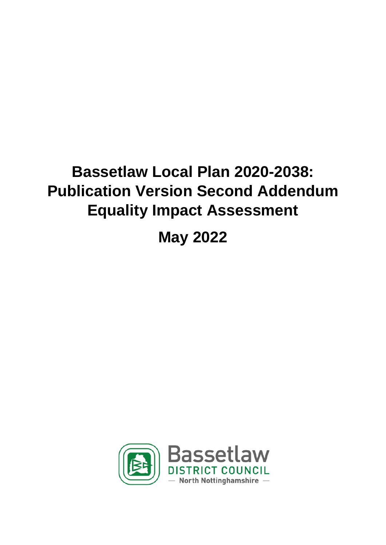# **Bassetlaw Local Plan 2020-2038: Publication Version Second Addendum Equality Impact Assessment**

# **May 2022**

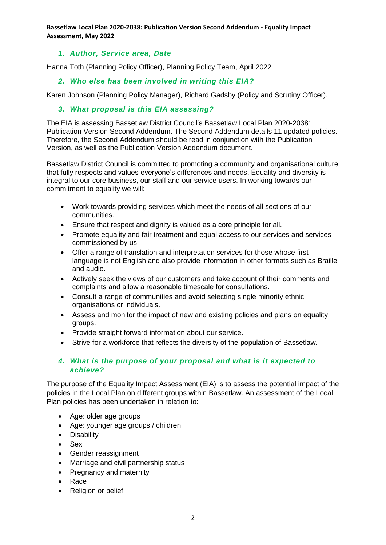**Bassetlaw Local Plan 2020-2038: Publication Version Second Addendum - Equality Impact Assessment, May 2022**

#### *1. Author, Service area, Date*

Hanna Toth (Planning Policy Officer), Planning Policy Team, April 2022

#### *2. Who else has been involved in writing this EIA?*

Karen Johnson (Planning Policy Manager), Richard Gadsby (Policy and Scrutiny Officer).

#### *3. What proposal is this EIA assessing?*

The EIA is assessing Bassetlaw District Council's Bassetlaw Local Plan 2020-2038: Publication Version Second Addendum. The Second Addendum details 11 updated policies. Therefore, the Second Addendum should be read in conjunction with the Publication Version, as well as the Publication Version Addendum document.

Bassetlaw District Council is committed to promoting a community and organisational culture that fully respects and values everyone's differences and needs. Equality and diversity is integral to our core business, our staff and our service users. In working towards our commitment to equality we will:

- Work towards providing services which meet the needs of all sections of our communities.
- Ensure that respect and dignity is valued as a core principle for all.
- Promote equality and fair treatment and equal access to our services and services commissioned by us.
- Offer a range of translation and interpretation services for those whose first language is not English and also provide information in other formats such as Braille and audio.
- Actively seek the views of our customers and take account of their comments and complaints and allow a reasonable timescale for consultations.
- Consult a range of communities and avoid selecting single minority ethnic organisations or individuals.
- Assess and monitor the impact of new and existing policies and plans on equality groups.
- Provide straight forward information about our service.
- Strive for a workforce that reflects the diversity of the population of Bassetlaw.

#### *4. What is the purpose of your proposal and what is it expected to achieve?*

The purpose of the Equality Impact Assessment (EIA) is to assess the potential impact of the policies in the Local Plan on different groups within Bassetlaw. An assessment of the Local Plan policies has been undertaken in relation to:

- Age: older age groups
- Age: younger age groups / children
- Disability
- Sex
- Gender reassignment
- Marriage and civil partnership status
- Pregnancy and maternity
- Race
- Religion or belief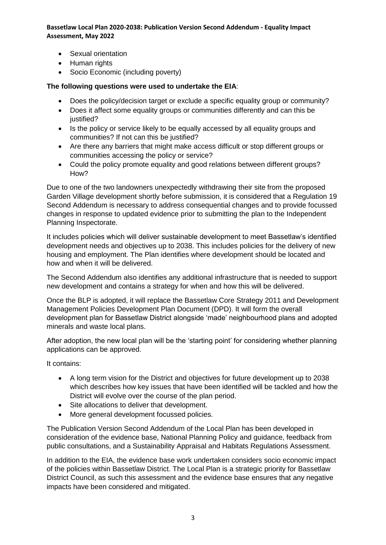**Bassetlaw Local Plan 2020-2038: Publication Version Second Addendum - Equality Impact Assessment, May 2022**

- Sexual orientation
- Human rights
- Socio Economic (including poverty)

#### **The following questions were used to undertake the EIA**:

- Does the policy/decision target or exclude a specific equality group or community?
- Does it affect some equality groups or communities differently and can this be justified?
- Is the policy or service likely to be equally accessed by all equality groups and communities? If not can this be justified?
- Are there any barriers that might make access difficult or stop different groups or communities accessing the policy or service?
- Could the policy promote equality and good relations between different groups? How?

Due to one of the two landowners unexpectedly withdrawing their site from the proposed Garden Village development shortly before submission, it is considered that a Regulation 19 Second Addendum is necessary to address consequential changes and to provide focussed changes in response to updated evidence prior to submitting the plan to the Independent Planning Inspectorate.

It includes policies which will deliver sustainable development to meet Bassetlaw's identified development needs and objectives up to 2038. This includes policies for the delivery of new housing and employment. The Plan identifies where development should be located and how and when it will be delivered.

The Second Addendum also identifies any additional infrastructure that is needed to support new development and contains a strategy for when and how this will be delivered.

Once the BLP is adopted, it will replace the Bassetlaw Core Strategy 2011 and Development Management Policies Development Plan Document (DPD). It will form the overall development plan for Bassetlaw District alongside 'made' neighbourhood plans and adopted minerals and waste local plans.

After adoption, the new local plan will be the 'starting point' for considering whether planning applications can be approved.

It contains:

- A long term vision for the District and objectives for future development up to 2038 which describes how key issues that have been identified will be tackled and how the District will evolve over the course of the plan period.
- Site allocations to deliver that development.
- More general development focussed policies.

The Publication Version Second Addendum of the Local Plan has been developed in consideration of the evidence base, National Planning Policy and guidance, feedback from public consultations, and a Sustainability Appraisal and Habitats Regulations Assessment.

In addition to the EIA, the evidence base work undertaken considers socio economic impact of the policies within Bassetlaw District. The Local Plan is a strategic priority for Bassetlaw District Council, as such this assessment and the evidence base ensures that any negative impacts have been considered and mitigated.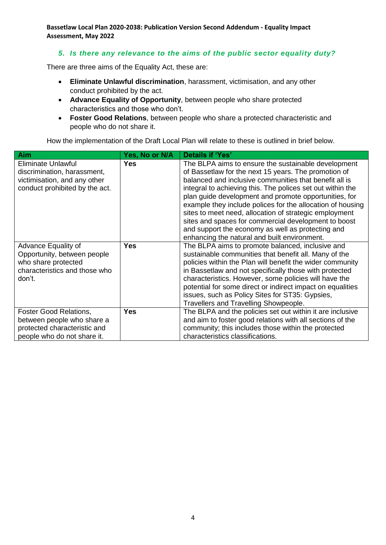**Bassetlaw Local Plan 2020-2038: Publication Version Second Addendum - Equality Impact Assessment, May 2022**

#### *5. Is there any relevance to the aims of the public sector equality duty?*

There are three aims of the Equality Act, these are:

- **Eliminate Unlawful discrimination**, harassment, victimisation, and any other conduct prohibited by the act.
- **Advance Equality of Opportunity**, between people who share protected characteristics and those who don't.
- **Foster Good Relations**, between people who share a protected characteristic and people who do not share it.

How the implementation of the Draft Local Plan will relate to these is outlined in brief below.

| <b>Aim</b>                                                                                                                 | Yes, No or N/A | Details if 'Yes'                                                                                                                                                                                                                                                                                                                                                                                                                                                                                                                                                                  |
|----------------------------------------------------------------------------------------------------------------------------|----------------|-----------------------------------------------------------------------------------------------------------------------------------------------------------------------------------------------------------------------------------------------------------------------------------------------------------------------------------------------------------------------------------------------------------------------------------------------------------------------------------------------------------------------------------------------------------------------------------|
| <b>Eliminate Unlawful</b><br>discrimination, harassment,<br>victimisation, and any other<br>conduct prohibited by the act. | <b>Yes</b>     | The BLPA aims to ensure the sustainable development<br>of Bassetlaw for the next 15 years. The promotion of<br>balanced and inclusive communities that benefit all is<br>integral to achieving this. The polices set out within the<br>plan guide development and promote opportunities, for<br>example they include polices for the allocation of housing<br>sites to meet need, allocation of strategic employment<br>sites and spaces for commercial development to boost<br>and support the economy as well as protecting and<br>enhancing the natural and built environment. |
| Advance Equality of<br>Opportunity, between people<br>who share protected<br>characteristics and those who<br>don't.       | Yes            | The BLPA aims to promote balanced, inclusive and<br>sustainable communities that benefit all. Many of the<br>policies within the Plan will benefit the wider community<br>in Bassetlaw and not specifically those with protected<br>characteristics. However, some policies will have the<br>potential for some direct or indirect impact on equalities<br>issues, such as Policy Sites for ST35: Gypsies,<br>Travellers and Travelling Showpeople.                                                                                                                               |
| <b>Foster Good Relations,</b><br>between people who share a<br>protected characteristic and<br>people who do not share it. | <b>Yes</b>     | The BLPA and the policies set out within it are inclusive<br>and aim to foster good relations with all sections of the<br>community; this includes those within the protected<br>characteristics classifications.                                                                                                                                                                                                                                                                                                                                                                 |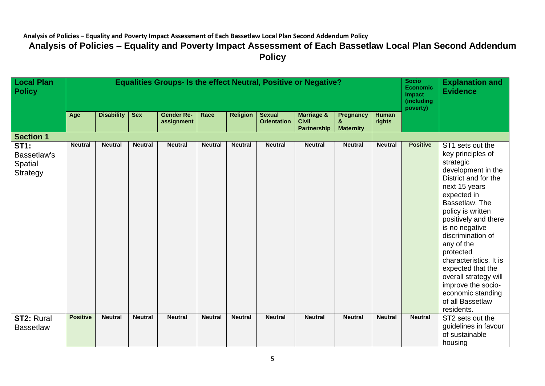| <b>Local Plan</b><br><b>Policy</b>                       | <b>Equalities Groups- Is the effect Neutral, Positive or Negative?</b> |                   |                |                                 |                |                 |                                     |                                                             |                                           |                        |                 | <b>Explanation and</b><br><b>Evidence</b>                                                                                                                                                                                                                                                                                                                                                                              |
|----------------------------------------------------------|------------------------------------------------------------------------|-------------------|----------------|---------------------------------|----------------|-----------------|-------------------------------------|-------------------------------------------------------------|-------------------------------------------|------------------------|-----------------|------------------------------------------------------------------------------------------------------------------------------------------------------------------------------------------------------------------------------------------------------------------------------------------------------------------------------------------------------------------------------------------------------------------------|
|                                                          | Age                                                                    | <b>Disability</b> | <b>Sex</b>     | <b>Gender Re-</b><br>assignment | Race           | <b>Religion</b> | <b>Sexual</b><br><b>Orientation</b> | <b>Marriage &amp;</b><br><b>Civil</b><br><b>Partnership</b> | <b>Pregnancy</b><br>&<br><b>Maternity</b> | <b>Human</b><br>rights | poverty)        |                                                                                                                                                                                                                                                                                                                                                                                                                        |
| <b>Section 1</b>                                         |                                                                        |                   |                |                                 |                |                 |                                     |                                                             |                                           |                        |                 |                                                                                                                                                                                                                                                                                                                                                                                                                        |
| <b>ST1:</b><br>Bassetlaw's<br>Spatial<br><b>Strategy</b> | <b>Neutral</b>                                                         | <b>Neutral</b>    | <b>Neutral</b> | <b>Neutral</b>                  | <b>Neutral</b> | <b>Neutral</b>  | <b>Neutral</b>                      | <b>Neutral</b>                                              | <b>Neutral</b>                            | <b>Neutral</b>         | <b>Positive</b> | ST1 sets out the<br>key principles of<br>strategic<br>development in the<br>District and for the<br>next 15 years<br>expected in<br>Bassetlaw. The<br>policy is written<br>positively and there<br>is no negative<br>discrimination of<br>any of the<br>protected<br>characteristics. It is<br>expected that the<br>overall strategy will<br>improve the socio-<br>economic standing<br>of all Bassetlaw<br>residents. |
| <b>ST2: Rural</b><br><b>Bassetlaw</b>                    | <b>Positive</b>                                                        | <b>Neutral</b>    | <b>Neutral</b> | <b>Neutral</b>                  | <b>Neutral</b> | <b>Neutral</b>  | <b>Neutral</b>                      | <b>Neutral</b>                                              | <b>Neutral</b>                            | <b>Neutral</b>         | <b>Neutral</b>  | ST2 sets out the<br>guidelines in favour<br>of sustainable<br>housing                                                                                                                                                                                                                                                                                                                                                  |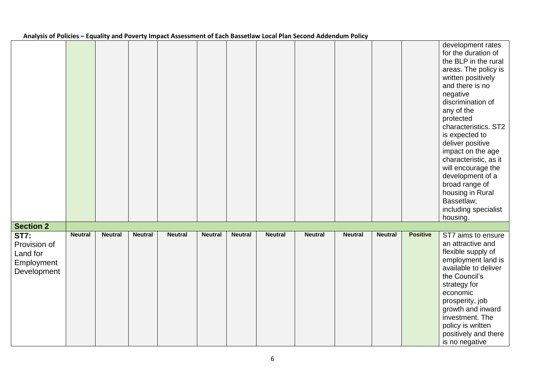|  | Analysis of Policies – Equality and Poverty Impact Assessment of Each Bassetlaw Local Plan Second Addendum Policy |
|--|-------------------------------------------------------------------------------------------------------------------|
|--|-------------------------------------------------------------------------------------------------------------------|

|                                                                      |                |                |                |                |                |                |                |                |                |                |                 | development rates<br>for the duration of<br>the BLP in the rural<br>areas. The policy is<br>written positively<br>and there is no<br>negative<br>discrimination of<br>any of the<br>protected<br>characteristics. ST2<br>is expected to<br>deliver positive<br>impact on the age<br>characteristic, as it<br>will encourage the<br>development of a<br>broad range of<br>housing in Rural<br>Bassetlaw;<br>including specialist<br>housing. |
|----------------------------------------------------------------------|----------------|----------------|----------------|----------------|----------------|----------------|----------------|----------------|----------------|----------------|-----------------|---------------------------------------------------------------------------------------------------------------------------------------------------------------------------------------------------------------------------------------------------------------------------------------------------------------------------------------------------------------------------------------------------------------------------------------------|
| <b>Section 2</b>                                                     |                |                |                |                |                |                |                |                |                |                |                 |                                                                                                                                                                                                                                                                                                                                                                                                                                             |
| <b>ST7:</b><br>Provision of<br>Land for<br>Employment<br>Development | <b>Neutral</b> | <b>Neutral</b> | <b>Neutral</b> | <b>Neutral</b> | <b>Neutral</b> | <b>Neutral</b> | <b>Neutral</b> | <b>Neutral</b> | <b>Neutral</b> | <b>Neutral</b> | <b>Positive</b> | ST7 aims to ensure<br>an attractive and<br>flexible supply of<br>employment land is<br>available to deliver<br>the Council's<br>strategy for<br>economic<br>prosperity, job<br>growth and inward<br>investment. The<br>policy is written<br>positively and there<br>is no negative                                                                                                                                                          |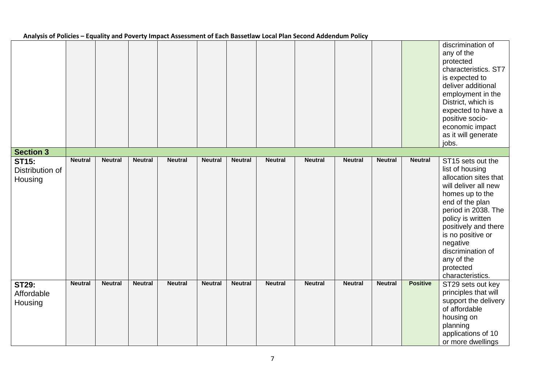|                                            |                |                |                |                |                |                |                |                |                |                |                 | discrimination of<br>any of the<br>protected<br>characteristics. ST7<br>is expected to<br>deliver additional<br>employment in the<br>District, which is<br>expected to have a<br>positive socio-<br>economic impact<br>as it will generate<br>jobs.                                                  |
|--------------------------------------------|----------------|----------------|----------------|----------------|----------------|----------------|----------------|----------------|----------------|----------------|-----------------|------------------------------------------------------------------------------------------------------------------------------------------------------------------------------------------------------------------------------------------------------------------------------------------------------|
| <b>Section 3</b>                           |                |                |                |                |                |                |                |                |                |                |                 |                                                                                                                                                                                                                                                                                                      |
| <b>ST15:</b><br>Distribution of<br>Housing | <b>Neutral</b> | <b>Neutral</b> | <b>Neutral</b> | <b>Neutral</b> | <b>Neutral</b> | <b>Neutral</b> | <b>Neutral</b> | <b>Neutral</b> | <b>Neutral</b> | <b>Neutral</b> | <b>Neutral</b>  | ST15 sets out the<br>list of housing<br>allocation sites that<br>will deliver all new<br>homes up to the<br>end of the plan<br>period in 2038. The<br>policy is written<br>positively and there<br>is no positive or<br>negative<br>discrimination of<br>any of the<br>protected<br>characteristics. |
| <b>ST29:</b><br>Affordable<br>Housing      | <b>Neutral</b> | <b>Neutral</b> | <b>Neutral</b> | <b>Neutral</b> | <b>Neutral</b> | <b>Neutral</b> | <b>Neutral</b> | <b>Neutral</b> | <b>Neutral</b> | <b>Neutral</b> | <b>Positive</b> | ST29 sets out key<br>principles that will<br>support the delivery<br>of affordable<br>housing on<br>planning<br>applications of 10<br>or more dwellings                                                                                                                                              |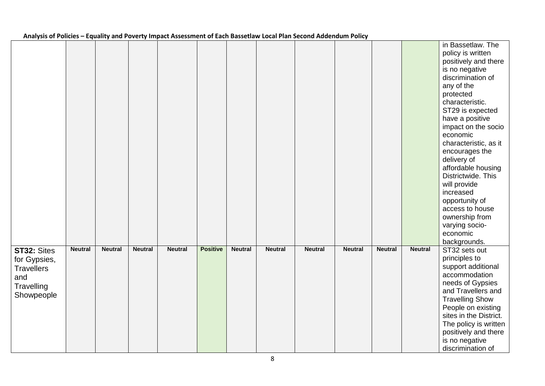| Analysis of Foncics – Equality and Foverty impact Assessment of Each Dassetiaw Eocal Fian Second Aductionm Foncy |                |                |                |                |                 |                |                |                |                |                |                |                                                                                                                                                                                                                                                                                                                                                                                                                                                                       |
|------------------------------------------------------------------------------------------------------------------|----------------|----------------|----------------|----------------|-----------------|----------------|----------------|----------------|----------------|----------------|----------------|-----------------------------------------------------------------------------------------------------------------------------------------------------------------------------------------------------------------------------------------------------------------------------------------------------------------------------------------------------------------------------------------------------------------------------------------------------------------------|
|                                                                                                                  |                |                |                |                |                 |                |                |                |                |                |                | in Bassetlaw. The<br>policy is written<br>positively and there<br>is no negative<br>discrimination of<br>any of the<br>protected<br>characteristic.<br>ST29 is expected<br>have a positive<br>impact on the socio<br>economic<br>characteristic, as it<br>encourages the<br>delivery of<br>affordable housing<br>Districtwide. This<br>will provide<br>increased<br>opportunity of<br>access to house<br>ownership from<br>varying socio-<br>economic<br>backgrounds. |
| ST32: Sites<br>for Gypsies,<br><b>Travellers</b><br>and<br>Travelling<br>Showpeople                              | <b>Neutral</b> | <b>Neutral</b> | <b>Neutral</b> | <b>Neutral</b> | <b>Positive</b> | <b>Neutral</b> | <b>Neutral</b> | <b>Neutral</b> | <b>Neutral</b> | <b>Neutral</b> | <b>Neutral</b> | ST32 sets out<br>principles to<br>support additional<br>accommodation<br>needs of Gypsies<br>and Travellers and<br><b>Travelling Show</b><br>People on existing<br>sites in the District.<br>The policy is written<br>positively and there<br>is no negative<br>discrimination of                                                                                                                                                                                     |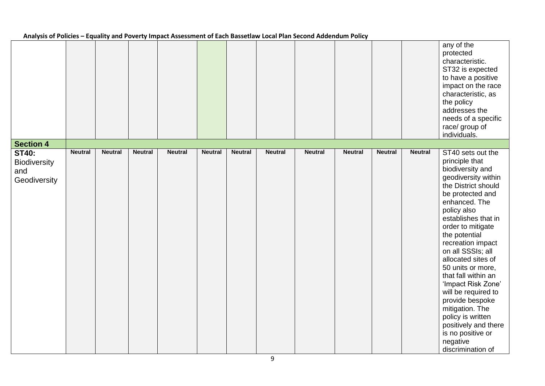|                                                            |                |                |                |                |                |                |                |                |                |                |                | any of the<br>protected<br>characteristic.<br>ST32 is expected<br>to have a positive<br>impact on the race<br>characteristic, as<br>the policy<br>addresses the<br>needs of a specific<br>race/ group of<br>individuals.                                                                                                                                                                                                                                                                                                 |
|------------------------------------------------------------|----------------|----------------|----------------|----------------|----------------|----------------|----------------|----------------|----------------|----------------|----------------|--------------------------------------------------------------------------------------------------------------------------------------------------------------------------------------------------------------------------------------------------------------------------------------------------------------------------------------------------------------------------------------------------------------------------------------------------------------------------------------------------------------------------|
| <b>Section 4</b>                                           |                |                |                |                |                |                |                |                |                |                |                |                                                                                                                                                                                                                                                                                                                                                                                                                                                                                                                          |
| <b>ST40:</b><br><b>Biodiversity</b><br>and<br>Geodiversity | <b>Neutral</b> | <b>Neutral</b> | <b>Neutral</b> | <b>Neutral</b> | <b>Neutral</b> | <b>Neutral</b> | <b>Neutral</b> | <b>Neutral</b> | <b>Neutral</b> | <b>Neutral</b> | <b>Neutral</b> | ST40 sets out the<br>principle that<br>biodiversity and<br>geodiversity within<br>the District should<br>be protected and<br>enhanced. The<br>policy also<br>establishes that in<br>order to mitigate<br>the potential<br>recreation impact<br>on all SSSIs; all<br>allocated sites of<br>50 units or more,<br>that fall within an<br>'Impact Risk Zone'<br>will be required to<br>provide bespoke<br>mitigation. The<br>policy is written<br>positively and there<br>is no positive or<br>negative<br>discrimination of |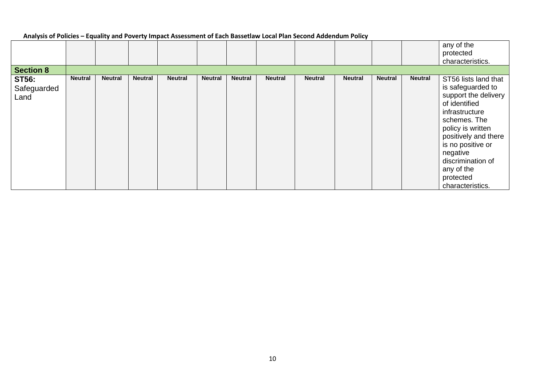| <b>Section 8</b>                    |                |                |                |                |                |                |                |                |                |                |                | any of the<br>protected<br>characteristics.                                                                                                                                                                                                                            |
|-------------------------------------|----------------|----------------|----------------|----------------|----------------|----------------|----------------|----------------|----------------|----------------|----------------|------------------------------------------------------------------------------------------------------------------------------------------------------------------------------------------------------------------------------------------------------------------------|
| <b>ST56:</b><br>Safeguarded<br>Land | <b>Neutral</b> | <b>Neutral</b> | <b>Neutral</b> | <b>Neutral</b> | <b>Neutral</b> | <b>Neutral</b> | <b>Neutral</b> | <b>Neutral</b> | <b>Neutral</b> | <b>Neutral</b> | <b>Neutral</b> | ST56 lists land that<br>is safeguarded to<br>support the delivery<br>of identified<br>infrastructure<br>schemes. The<br>policy is written<br>positively and there<br>is no positive or<br>negative<br>discrimination of<br>any of the<br>protected<br>characteristics. |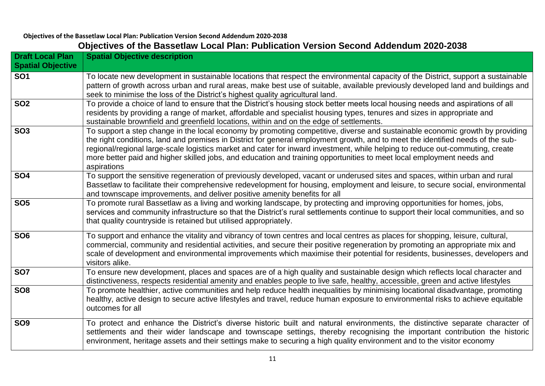### **Objectives of the Bassetlaw Local Plan: Publication Version Second Addendum 2020-2038 Objectives of the Bassetlaw Local Plan: Publication Version Second Addendum 2020-2038**

| <b>Draft Local Plan</b><br><b>Spatial Objective</b> | <b>Spatial Objective description</b>                                                                                                                                                                                                                                                                                                                                                                                                                                                                                                     |
|-----------------------------------------------------|------------------------------------------------------------------------------------------------------------------------------------------------------------------------------------------------------------------------------------------------------------------------------------------------------------------------------------------------------------------------------------------------------------------------------------------------------------------------------------------------------------------------------------------|
| SO <sub>1</sub>                                     | To locate new development in sustainable locations that respect the environmental capacity of the District, support a sustainable<br>pattern of growth across urban and rural areas, make best use of suitable, available previously developed land and buildings and<br>seek to minimise the loss of the District's highest quality agricultural land.                                                                                                                                                                                  |
| <b>SO2</b>                                          | To provide a choice of land to ensure that the District's housing stock better meets local housing needs and aspirations of all<br>residents by providing a range of market, affordable and specialist housing types, tenures and sizes in appropriate and<br>sustainable brownfield and greenfield locations, within and on the edge of settlements.                                                                                                                                                                                    |
| <b>SO3</b>                                          | To support a step change in the local economy by promoting competitive, diverse and sustainable economic growth by providing<br>the right conditions, land and premises in District for general employment growth, and to meet the identified needs of the sub-<br>regional/regional large-scale logistics market and cater for inward investment, while helping to reduce out-commuting, create<br>more better paid and higher skilled jobs, and education and training opportunities to meet local employment needs and<br>aspirations |
| <b>SO4</b>                                          | To support the sensitive regeneration of previously developed, vacant or underused sites and spaces, within urban and rural<br>Bassetlaw to facilitate their comprehensive redevelopment for housing, employment and leisure, to secure social, environmental<br>and townscape improvements, and deliver positive amenity benefits for all                                                                                                                                                                                               |
| <b>SO5</b>                                          | To promote rural Bassetlaw as a living and working landscape, by protecting and improving opportunities for homes, jobs,<br>services and community infrastructure so that the District's rural settlements continue to support their local communities, and so<br>that quality countryside is retained but utilised appropriately.                                                                                                                                                                                                       |
| <b>SO6</b>                                          | To support and enhance the vitality and vibrancy of town centres and local centres as places for shopping, leisure, cultural,<br>commercial, community and residential activities, and secure their positive regeneration by promoting an appropriate mix and<br>scale of development and environmental improvements which maximise their potential for residents, businesses, developers and<br>visitors alike.                                                                                                                         |
| <b>SO7</b>                                          | To ensure new development, places and spaces are of a high quality and sustainable design which reflects local character and<br>distinctiveness, respects residential amenity and enables people to live safe, healthy, accessible, green and active lifestyles                                                                                                                                                                                                                                                                          |
| SO <sub>8</sub>                                     | To promote healthier, active communities and help reduce health inequalities by minimising locational disadvantage, promoting<br>healthy, active design to secure active lifestyles and travel, reduce human exposure to environmental risks to achieve equitable<br>outcomes for all                                                                                                                                                                                                                                                    |
| <b>SO9</b>                                          | To protect and enhance the District's diverse historic built and natural environments, the distinctive separate character of<br>settlements and their wider landscape and townscape settings, thereby recognising the important contribution the historic<br>environment, heritage assets and their settings make to securing a high quality environment and to the visitor economy                                                                                                                                                      |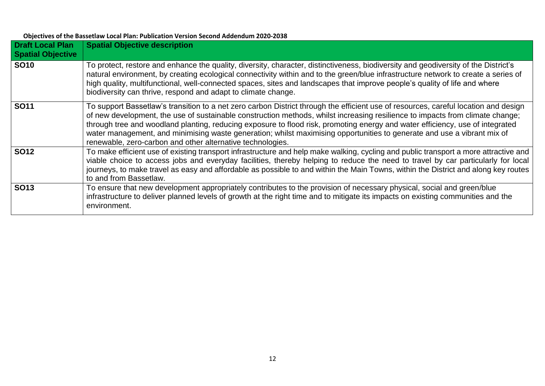| <b>Objectives of the Bassetlaw Local Plan: Publication Version Second Addendum 2020-2038</b> |  |
|----------------------------------------------------------------------------------------------|--|
|----------------------------------------------------------------------------------------------|--|

| <b>Draft Local Plan</b><br><b>Spatial Objective</b> | <b>Spatial Objective description</b>                                                                                                                                                                                                                                                                                                                                                                                                                                                                                                                                                           |
|-----------------------------------------------------|------------------------------------------------------------------------------------------------------------------------------------------------------------------------------------------------------------------------------------------------------------------------------------------------------------------------------------------------------------------------------------------------------------------------------------------------------------------------------------------------------------------------------------------------------------------------------------------------|
| <b>SO10</b>                                         | To protect, restore and enhance the quality, diversity, character, distinctiveness, biodiversity and geodiversity of the District's<br>natural environment, by creating ecological connectivity within and to the green/blue infrastructure network to create a series of<br>high quality, multifunctional, well-connected spaces, sites and landscapes that improve people's quality of life and where<br>biodiversity can thrive, respond and adapt to climate change.                                                                                                                       |
| <b>SO11</b>                                         | To support Bassetlaw's transition to a net zero carbon District through the efficient use of resources, careful location and design<br>of new development, the use of sustainable construction methods, whilst increasing resilience to impacts from climate change;<br>through tree and woodland planting, reducing exposure to flood risk, promoting energy and water efficiency, use of integrated<br>water management, and minimising waste generation; whilst maximising opportunities to generate and use a vibrant mix of<br>renewable, zero-carbon and other alternative technologies. |
| <b>SO12</b>                                         | To make efficient use of existing transport infrastructure and help make walking, cycling and public transport a more attractive and<br>viable choice to access jobs and everyday facilities, thereby helping to reduce the need to travel by car particularly for local<br>journeys, to make travel as easy and affordable as possible to and within the Main Towns, within the District and along key routes<br>to and from Bassetlaw.                                                                                                                                                       |
| <b>SO13</b>                                         | To ensure that new development appropriately contributes to the provision of necessary physical, social and green/blue<br>infrastructure to deliver planned levels of growth at the right time and to mitigate its impacts on existing communities and the<br>environment.                                                                                                                                                                                                                                                                                                                     |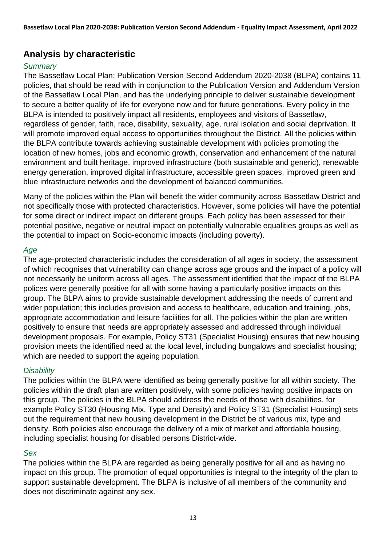# **Analysis by characteristic**

## *Summary*

The Bassetlaw Local Plan: Publication Version Second Addendum 2020-2038 (BLPA) contains 11 policies, that should be read with in conjunction to the Publication Version and Addendum Version of the Bassetlaw Local Plan, and has the underlying principle to deliver sustainable development to secure a better quality of life for everyone now and for future generations. Every policy in the BLPA is intended to positively impact all residents, employees and visitors of Bassetlaw, regardless of gender, faith, race, disability, sexuality, age, rural isolation and social deprivation. It will promote improved equal access to opportunities throughout the District. All the policies within the BLPA contribute towards achieving sustainable development with policies promoting the location of new homes, jobs and economic growth, conservation and enhancement of the natural environment and built heritage, improved infrastructure (both sustainable and generic), renewable energy generation, improved digital infrastructure, accessible green spaces, improved green and blue infrastructure networks and the development of balanced communities.

Many of the policies within the Plan will benefit the wider community across Bassetlaw District and not specifically those with protected characteristics. However, some policies will have the potential for some direct or indirect impact on different groups. Each policy has been assessed for their potential positive, negative or neutral impact on potentially vulnerable equalities groups as well as the potential to impact on Socio-economic impacts (including poverty).

## *Age*

The age-protected characteristic includes the consideration of all ages in society, the assessment of which recognises that vulnerability can change across age groups and the impact of a policy will not necessarily be uniform across all ages. The assessment identified that the impact of the BLPA polices were generally positive for all with some having a particularly positive impacts on this group. The BLPA aims to provide sustainable development addressing the needs of current and wider population; this includes provision and access to healthcare, education and training, jobs, appropriate accommodation and leisure facilities for all. The policies within the plan are written positively to ensure that needs are appropriately assessed and addressed through individual development proposals. For example, Policy ST31 (Specialist Housing) ensures that new housing provision meets the identified need at the local level, including bungalows and specialist housing; which are needed to support the ageing population.

### *Disability*

The policies within the BLPA were identified as being generally positive for all within society. The policies within the draft plan are written positively, with some policies having positive impacts on this group. The policies in the BLPA should address the needs of those with disabilities, for example Policy ST30 (Housing Mix, Type and Density) and Policy ST31 (Specialist Housing) sets out the requirement that new housing development in the District be of various mix, type and density. Both policies also encourage the delivery of a mix of market and affordable housing, including specialist housing for disabled persons District-wide.

### *Sex*

The policies within the BLPA are regarded as being generally positive for all and as having no impact on this group. The promotion of equal opportunities is integral to the integrity of the plan to support sustainable development. The BLPA is inclusive of all members of the community and does not discriminate against any sex.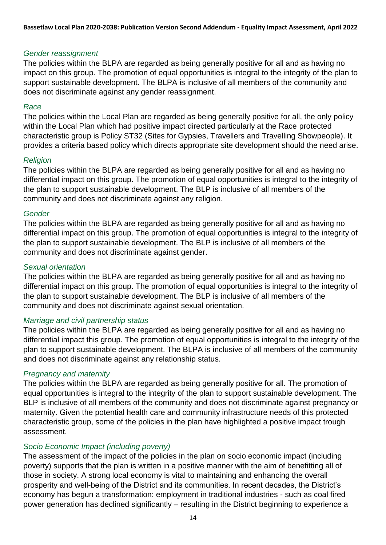#### *Gender reassignment*

The policies within the BLPA are regarded as being generally positive for all and as having no impact on this group. The promotion of equal opportunities is integral to the integrity of the plan to support sustainable development. The BLPA is inclusive of all members of the community and does not discriminate against any gender reassignment.

#### *Race*

The policies within the Local Plan are regarded as being generally positive for all, the only policy within the Local Plan which had positive impact directed particularly at the Race protected characteristic group is Policy ST32 (Sites for Gypsies, Travellers and Travelling Showpeople). It provides a criteria based policy which directs appropriate site development should the need arise.

#### *Religion*

The policies within the BLPA are regarded as being generally positive for all and as having no differential impact on this group. The promotion of equal opportunities is integral to the integrity of the plan to support sustainable development. The BLP is inclusive of all members of the community and does not discriminate against any religion.

#### *Gender*

The policies within the BLPA are regarded as being generally positive for all and as having no differential impact on this group. The promotion of equal opportunities is integral to the integrity of the plan to support sustainable development. The BLP is inclusive of all members of the community and does not discriminate against gender.

#### *Sexual orientation*

The policies within the BLPA are regarded as being generally positive for all and as having no differential impact on this group. The promotion of equal opportunities is integral to the integrity of the plan to support sustainable development. The BLP is inclusive of all members of the community and does not discriminate against sexual orientation.

### *Marriage and civil partnership status*

The policies within the BLPA are regarded as being generally positive for all and as having no differential impact this group. The promotion of equal opportunities is integral to the integrity of the plan to support sustainable development. The BLPA is inclusive of all members of the community and does not discriminate against any relationship status.

### *Pregnancy and maternity*

The policies within the BLPA are regarded as being generally positive for all. The promotion of equal opportunities is integral to the integrity of the plan to support sustainable development. The BLP is inclusive of all members of the community and does not discriminate against pregnancy or maternity. Given the potential health care and community infrastructure needs of this protected characteristic group, some of the policies in the plan have highlighted a positive impact trough assessment.

### *Socio Economic Impact (including poverty)*

The assessment of the impact of the policies in the plan on socio economic impact (including poverty) supports that the plan is written in a positive manner with the aim of benefitting all of those in society. A strong local economy is vital to maintaining and enhancing the overall prosperity and well-being of the District and its communities. In recent decades, the District's economy has begun a transformation: employment in traditional industries - such as coal fired power generation has declined significantly – resulting in the District beginning to experience a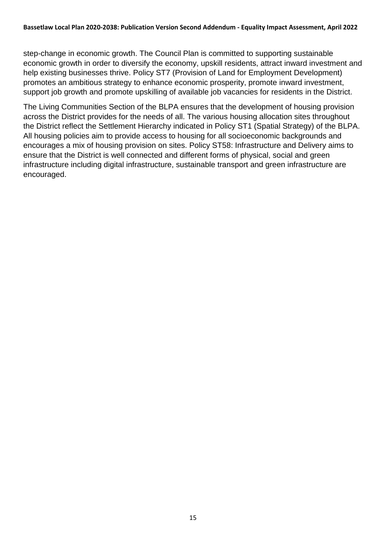step-change in economic growth. The Council Plan is committed to supporting sustainable economic growth in order to diversify the economy, upskill residents, attract inward investment and help existing businesses thrive. Policy ST7 (Provision of Land for Employment Development) promotes an ambitious strategy to enhance economic prosperity, promote inward investment, support job growth and promote upskilling of available job vacancies for residents in the District.

The Living Communities Section of the BLPA ensures that the development of housing provision across the District provides for the needs of all. The various housing allocation sites throughout the District reflect the Settlement Hierarchy indicated in Policy ST1 (Spatial Strategy) of the BLPA. All housing policies aim to provide access to housing for all socioeconomic backgrounds and encourages a mix of housing provision on sites. Policy ST58: Infrastructure and Delivery aims to ensure that the District is well connected and different forms of physical, social and green infrastructure including digital infrastructure, sustainable transport and green infrastructure are encouraged.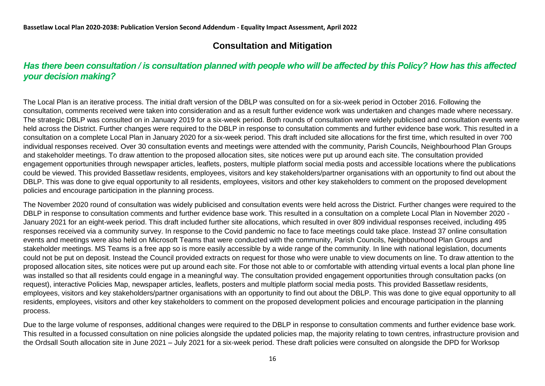# **Consultation and Mitigation**

## *Has there been consultation / is consultation planned with people who will be affected by this Policy? How has this affected your decision making?*

The Local Plan is an iterative process. The initial draft version of the DBLP was consulted on for a six-week period in October 2016. Following the consultation, comments received were taken into consideration and as a result further evidence work was undertaken and changes made where necessary. The strategic DBLP was consulted on in January 2019 for a six-week period. Both rounds of consultation were widely publicised and consultation events were held across the District. Further changes were required to the DBLP in response to consultation comments and further evidence base work. This resulted in a consultation on a complete Local Plan in January 2020 for a six-week period. This draft included site allocations for the first time, which resulted in over 700 individual responses received. Over 30 consultation events and meetings were attended with the community, Parish Councils, Neighbourhood Plan Groups and stakeholder meetings. To draw attention to the proposed allocation sites, site notices were put up around each site. The consultation provided engagement opportunities through newspaper articles, leaflets, posters, multiple platform social media posts and accessible locations where the publications could be viewed. This provided Bassetlaw residents, employees, visitors and key stakeholders/partner organisations with an opportunity to find out about the DBLP. This was done to give equal opportunity to all residents, employees, visitors and other key stakeholders to comment on the proposed development policies and encourage participation in the planning process.

The November 2020 round of consultation was widely publicised and consultation events were held across the District. Further changes were required to the DBLP in response to consultation comments and further evidence base work. This resulted in a consultation on a complete Local Plan in November 2020 - January 2021 for an eight-week period. This draft included further site allocations, which resulted in over 809 individual responses received, including 495 responses received via a community survey. In response to the Covid pandemic no face to face meetings could take place. Instead 37 online consultation events and meetings were also held on Microsoft Teams that were conducted with the community, Parish Councils, Neighbourhood Plan Groups and stakeholder meetings. MS Teams is a free app so is more easily accessible by a wide range of the community. In line with national legislation, documents could not be put on deposit. Instead the Council provided extracts on request for those who were unable to view documents on line. To draw attention to the proposed allocation sites, site notices were put up around each site. For those not able to or comfortable with attending virtual events a local plan phone line was installed so that all residents could engage in a meaningful way. The consultation provided engagement opportunities through consultation packs (on request), interactive Policies Map, newspaper articles, leaflets, posters and multiple platform social media posts. This provided Bassetlaw residents, employees, visitors and key stakeholders/partner organisations with an opportunity to find out about the DBLP. This was done to give equal opportunity to all residents, employees, visitors and other key stakeholders to comment on the proposed development policies and encourage participation in the planning process.

Due to the large volume of responses, additional changes were required to the DBLP in response to consultation comments and further evidence base work. This resulted in a focussed consultation on nine policies alongside the updated policies map, the majority relating to town centres, infrastructure provision and the Ordsall South allocation site in June 2021 – July 2021 for a six-week period. These draft policies were consulted on alongside the DPD for Worksop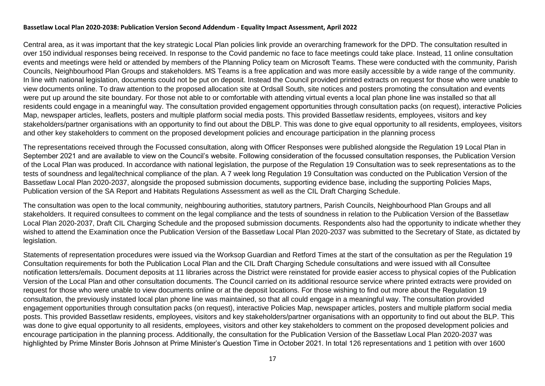#### **Bassetlaw Local Plan 2020-2038: Publication Version Second Addendum - Equality Impact Assessment, April 2022**

Central area, as it was important that the key strategic Local Plan policies link provide an overarching framework for the DPD. The consultation resulted in over 150 individual responses being received. In response to the Covid pandemic no face to face meetings could take place. Instead, 11 online consultation events and meetings were held or attended by members of the Planning Policy team on Microsoft Teams. These were conducted with the community, Parish Councils, Neighbourhood Plan Groups and stakeholders. MS Teams is a free application and was more easily accessible by a wide range of the community. In line with national legislation, documents could not be put on deposit. Instead the Council provided printed extracts on request for those who were unable to view documents online. To draw attention to the proposed allocation site at Ordsall South, site notices and posters promoting the consultation and events were put up around the site boundary. For those not able to or comfortable with attending virtual events a local plan phone line was installed so that all residents could engage in a meaningful way. The consultation provided engagement opportunities through consultation packs (on request), interactive Policies Map, newspaper articles, leaflets, posters and multiple platform social media posts. This provided Bassetlaw residents, employees, visitors and key stakeholders/partner organisations with an opportunity to find out about the DBLP. This was done to give equal opportunity to all residents, employees, visitors and other key stakeholders to comment on the proposed development policies and encourage participation in the planning process

The representations received through the Focussed consultation, along with Officer Responses were published alongside the Regulation 19 Local Plan in September 2021 and are available to view on the Council's website. Following consideration of the focussed consultation responses, the Publication Version of the Local Plan was produced. In accordance with national legislation, the purpose of the Regulation 19 Consultation was to seek representations as to the tests of soundness and legal/technical compliance of the plan. A 7 week long Regulation 19 Consultation was conducted on the Publication Version of the Bassetlaw Local Plan 2020-2037, alongside the proposed submission documents, supporting evidence base, including the supporting Policies Maps, Publication version of the SA Report and Habitats Regulations Assessment as well as the CIL Draft Charging Schedule.

The consultation was open to the local community, neighbouring authorities, statutory partners, Parish Councils, Neighbourhood Plan Groups and all stakeholders. It required consultees to comment on the legal compliance and the tests of soundness in relation to the Publication Version of the Bassetlaw Local Plan 2020-2037, Draft CIL Charging Schedule and the proposed submission documents. Respondents also had the opportunity to indicate whether they wished to attend the Examination once the Publication Version of the Bassetlaw Local Plan 2020-2037 was submitted to the Secretary of State, as dictated by legislation.

Statements of representation procedures were issued via the Worksop Guardian and Retford Times at the start of the consultation as per the Regulation 19 Consultation requirements for both the Publication Local Plan and the CIL Draft Charging Schedule consultations and were issued with all Consultee notification letters/emails. Document deposits at 11 libraries across the District were reinstated for provide easier access to physical copies of the Publication Version of the Local Plan and other consultation documents. The Council carried on its additional resource service where printed extracts were provided on request for those who were unable to view documents online or at the deposit locations. For those wishing to find out more about the Regulation 19 consultation, the previously instated local plan phone line was maintained, so that all could engage in a meaningful way. The consultation provided engagement opportunities through consultation packs (on request), interactive Policies Map, newspaper articles, posters and multiple platform social media posts. This provided Bassetlaw residents, employees, visitors and key stakeholders/partner organisations with an opportunity to find out about the BLP. This was done to give equal opportunity to all residents, employees, visitors and other key stakeholders to comment on the proposed development policies and encourage participation in the planning process. Additionally, the consultation for the Publication Version of the Bassetlaw Local Plan 2020-2037 was highlighted by Prime Minster Boris Johnson at Prime Minister's Question Time in October 2021. In total 126 representations and 1 petition with over 1600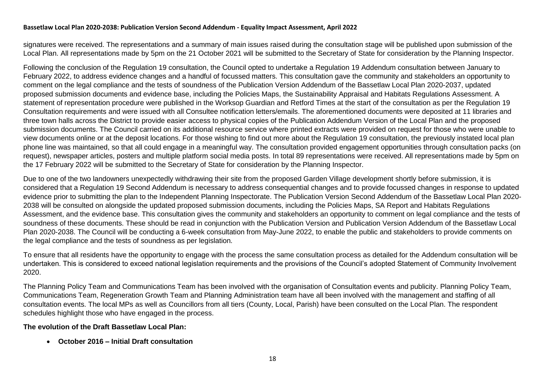#### **Bassetlaw Local Plan 2020-2038: Publication Version Second Addendum - Equality Impact Assessment, April 2022**

signatures were received. The representations and a summary of main issues raised during the consultation stage will be published upon submission of the Local Plan. All representations made by 5pm on the 21 October 2021 will be submitted to the Secretary of State for consideration by the Planning Inspector.

Following the conclusion of the Regulation 19 consultation, the Council opted to undertake a Regulation 19 Addendum consultation between January to February 2022, to address evidence changes and a handful of focussed matters. This consultation gave the community and stakeholders an opportunity to comment on the legal compliance and the tests of soundness of the Publication Version Addendum of the Bassetlaw Local Plan 2020-2037, updated proposed submission documents and evidence base, including the Policies Maps, the Sustainability Appraisal and Habitats Regulations Assessment. A statement of representation procedure were published in the Worksop Guardian and Retford Times at the start of the consultation as per the Regulation 19 Consultation requirements and were issued with all Consultee notification letters/emails. The aforementioned documents were deposited at 11 libraries and three town halls across the District to provide easier access to physical copies of the Publication Addendum Version of the Local Plan and the proposed submission documents. The Council carried on its additional resource service where printed extracts were provided on request for those who were unable to view documents online or at the deposit locations. For those wishing to find out more about the Regulation 19 consultation, the previously instated local plan phone line was maintained, so that all could engage in a meaningful way. The consultation provided engagement opportunities through consultation packs (on request), newspaper articles, posters and multiple platform social media posts. In total 89 representations were received. All representations made by 5pm on the 17 February 2022 will be submitted to the Secretary of State for consideration by the Planning Inspector.

Due to one of the two landowners unexpectedly withdrawing their site from the proposed Garden Village development shortly before submission, it is considered that a Regulation 19 Second Addendum is necessary to address consequential changes and to provide focussed changes in response to updated evidence prior to submitting the plan to the Independent Planning Inspectorate. The Publication Version Second Addendum of the Bassetlaw Local Plan 2020- 2038 will be consulted on alongside the updated proposed submission documents, including the Policies Maps, SA Report and Habitats Regulations Assessment, and the evidence base. This consultation gives the community and stakeholders an opportunity to comment on legal compliance and the tests of soundness of these documents. These should be read in conjunction with the Publication Version and Publication Version Addendum of the Bassetlaw Local Plan 2020-2038. The Council will be conducting a 6-week consultation from May-June 2022, to enable the public and stakeholders to provide comments on the legal compliance and the tests of soundness as per legislation.

To ensure that all residents have the opportunity to engage with the process the same consultation process as detailed for the Addendum consultation will be undertaken. This is considered to exceed national legislation requirements and the provisions of the Council's adopted Statement of Community Involvement 2020.

The Planning Policy Team and Communications Team has been involved with the organisation of Consultation events and publicity. Planning Policy Team, Communications Team, Regeneration Growth Team and Planning Administration team have all been involved with the management and staffing of all consultation events. The local MPs as well as Councillors from all tiers (County, Local, Parish) have been consulted on the Local Plan. The respondent schedules highlight those who have engaged in the process.

#### **The evolution of the Draft Bassetlaw Local Plan:**

**October 2016 – Initial Draft consultation**